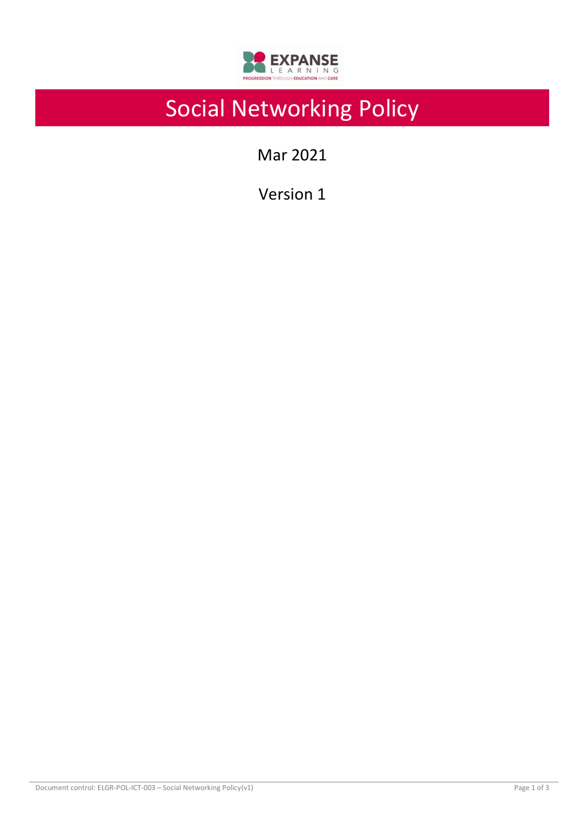

# Social Networking Policy

Mar 2021

Version 1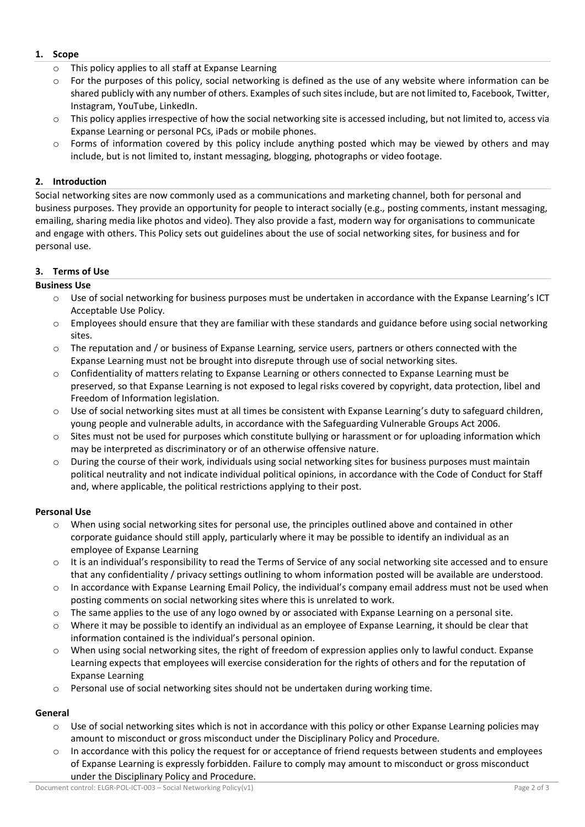#### **1. Scope**

- o This policy applies to all staff at Expanse Learning
- $\circ$  For the purposes of this policy, social networking is defined as the use of any website where information can be shared publicly with any number of others. Examples of such sites include, but are not limited to, Facebook, Twitter, Instagram, YouTube, LinkedIn.
- o This policy applies irrespective of how the social networking site is accessed including, but not limited to, access via Expanse Learning or personal PCs, iPads or mobile phones.
- $\circ$  Forms of information covered by this policy include anything posted which may be viewed by others and may include, but is not limited to, instant messaging, blogging, photographs or video footage.

### **2. Introduction**

Social networking sites are now commonly used as a communications and marketing channel, both for personal and business purposes. They provide an opportunity for people to interact socially (e.g., posting comments, instant messaging, emailing, sharing media like photos and video). They also provide a fast, modern way for organisations to communicate and engage with others. This Policy sets out guidelines about the use of social networking sites, for business and for personal use.

#### **3. Terms of Use**

#### **Business Use**

- $\circ$  Use of social networking for business purposes must be undertaken in accordance with the Expanse Learning's ICT Acceptable Use Policy.
- $\circ$  Employees should ensure that they are familiar with these standards and guidance before using social networking sites.
- o The reputation and / or business of Expanse Learning, service users, partners or others connected with the Expanse Learning must not be brought into disrepute through use of social networking sites.
- o Confidentiality of matters relating to Expanse Learning or others connected to Expanse Learning must be preserved, so that Expanse Learning is not exposed to legal risks covered by copyright, data protection, libel and Freedom of Information legislation.
- o Use of social networking sites must at all times be consistent with Expanse Learning's duty to safeguard children, young people and vulnerable adults, in accordance with the Safeguarding Vulnerable Groups Act 2006.
- $\circ$  Sites must not be used for purposes which constitute bullying or harassment or for uploading information which may be interpreted as discriminatory or of an otherwise offensive nature.
- $\circ$  During the course of their work, individuals using social networking sites for business purposes must maintain political neutrality and not indicate individual political opinions, in accordance with the Code of Conduct for Staff and, where applicable, the political restrictions applying to their post.

## **Personal Use**

- o When using social networking sites for personal use, the principles outlined above and contained in other corporate guidance should still apply, particularly where it may be possible to identify an individual as an employee of Expanse Learning
- o It is an individual's responsibility to read the Terms of Service of any social networking site accessed and to ensure that any confidentiality / privacy settings outlining to whom information posted will be available are understood.
- $\circ$  In accordance with Expanse Learning Email Policy, the individual's company email address must not be used when posting comments on social networking sites where this is unrelated to work.
- $\circ$  The same applies to the use of any logo owned by or associated with Expanse Learning on a personal site.
- o Where it may be possible to identify an individual as an employee of Expanse Learning, it should be clear that information contained is the individual's personal opinion.
- $\circ$  When using social networking sites, the right of freedom of expression applies only to lawful conduct. Expanse Learning expects that employees will exercise consideration for the rights of others and for the reputation of Expanse Learning
- $\circ$  Personal use of social networking sites should not be undertaken during working time.

## **General**

- $\circ$  Use of social networking sites which is not in accordance with this policy or other Expanse Learning policies may amount to misconduct or gross misconduct under the Disciplinary Policy and Procedure.
- In accordance with this policy the request for or acceptance of friend requests between students and employees of Expanse Learning is expressly forbidden. Failure to comply may amount to misconduct or gross misconduct under the Disciplinary Policy and Procedure.